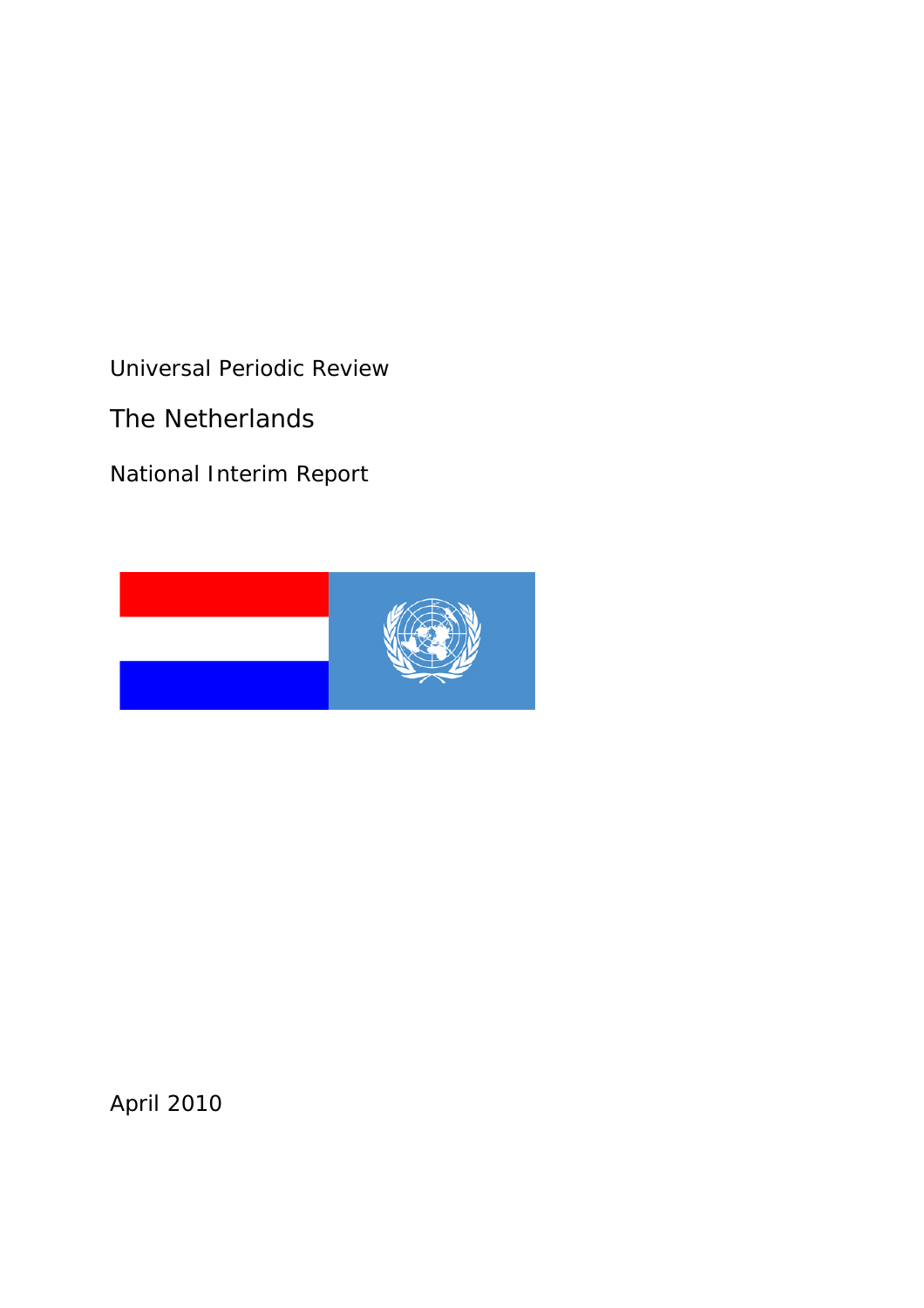Universal Periodic Review

The Netherlands

National Interim Report



April 2010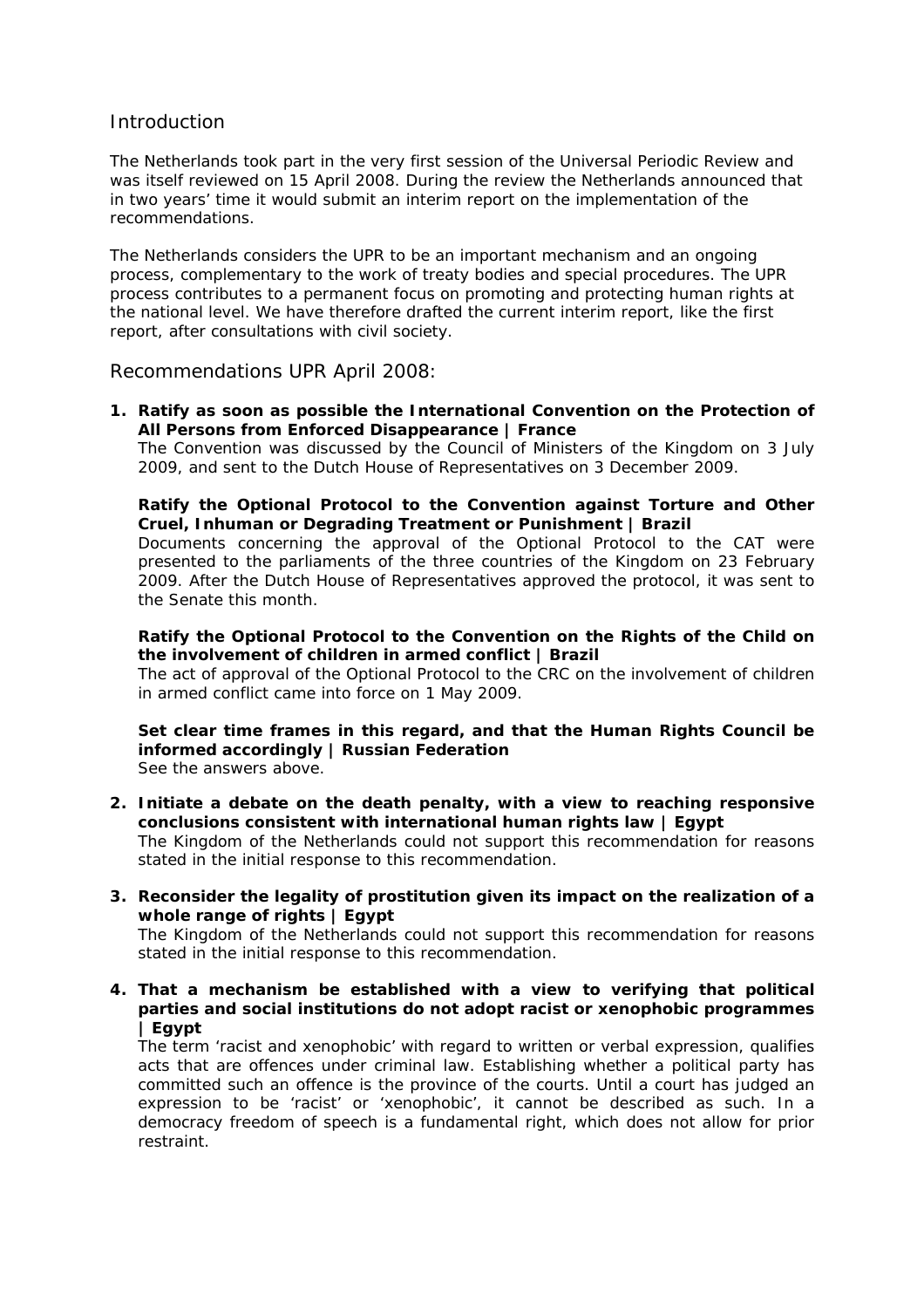# **Introduction**

The Netherlands took part in the very first session of the Universal Periodic Review and was itself reviewed on 15 April 2008. During the review the Netherlands announced that in two years' time it would submit an interim report on the implementation of the recommendations.

The Netherlands considers the UPR to be an important mechanism and an ongoing process, complementary to the work of treaty bodies and special procedures. The UPR process contributes to a permanent focus on promoting and protecting human rights at the national level. We have therefore drafted the current interim report, like the first report, after consultations with civil society.

Recommendations UPR April 2008:

**1. Ratify as soon as possible the International Convention on the Protection of All Persons from Enforced Disappearance | France**

 The Convention was discussed by the Council of Ministers of the Kingdom on 3 July 2009, and sent to the Dutch House of Representatives on 3 December 2009.

# **Ratify the Optional Protocol to the Convention against Torture and Other Cruel, Inhuman or Degrading Treatment or Punishment | Brazil**

Documents concerning the approval of the Optional Protocol to the CAT were presented to the parliaments of the three countries of the Kingdom on 23 February 2009. After the Dutch House of Representatives approved the protocol, it was sent to the Senate this month.

# **Ratify the Optional Protocol to the Convention on the Rights of the Child on the involvement of children in armed conflict | Brazil**

The act of approval of the Optional Protocol to the CRC on the involvement of children in armed conflict came into force on 1 May 2009.

# **Set clear time frames in this regard, and that the Human Rights Council be informed accordingly | Russian Federation**

See the answers above.

**2. Initiate a debate on the death penalty, with a view to reaching responsive conclusions consistent with international human rights law | Egypt** 

The Kingdom of the Netherlands could not support this recommendation for reasons stated in the initial response to this recommendation.

**3. Reconsider the legality of prostitution given its impact on the realization of a whole range of rights | Egypt** 

The Kingdom of the Netherlands could not support this recommendation for reasons stated in the initial response to this recommendation.

**4. That a mechanism be established with a view to verifying that political parties and social institutions do not adopt racist or xenophobic programmes | Egypt** 

The term 'racist and xenophobic' with regard to written or verbal expression, qualifies acts that are offences under criminal law. Establishing whether a political party has committed such an offence is the province of the courts. Until a court has judged an expression to be 'racist' or 'xenophobic', it cannot be described as such. In a democracy freedom of speech is a fundamental right, which does not allow for prior restraint.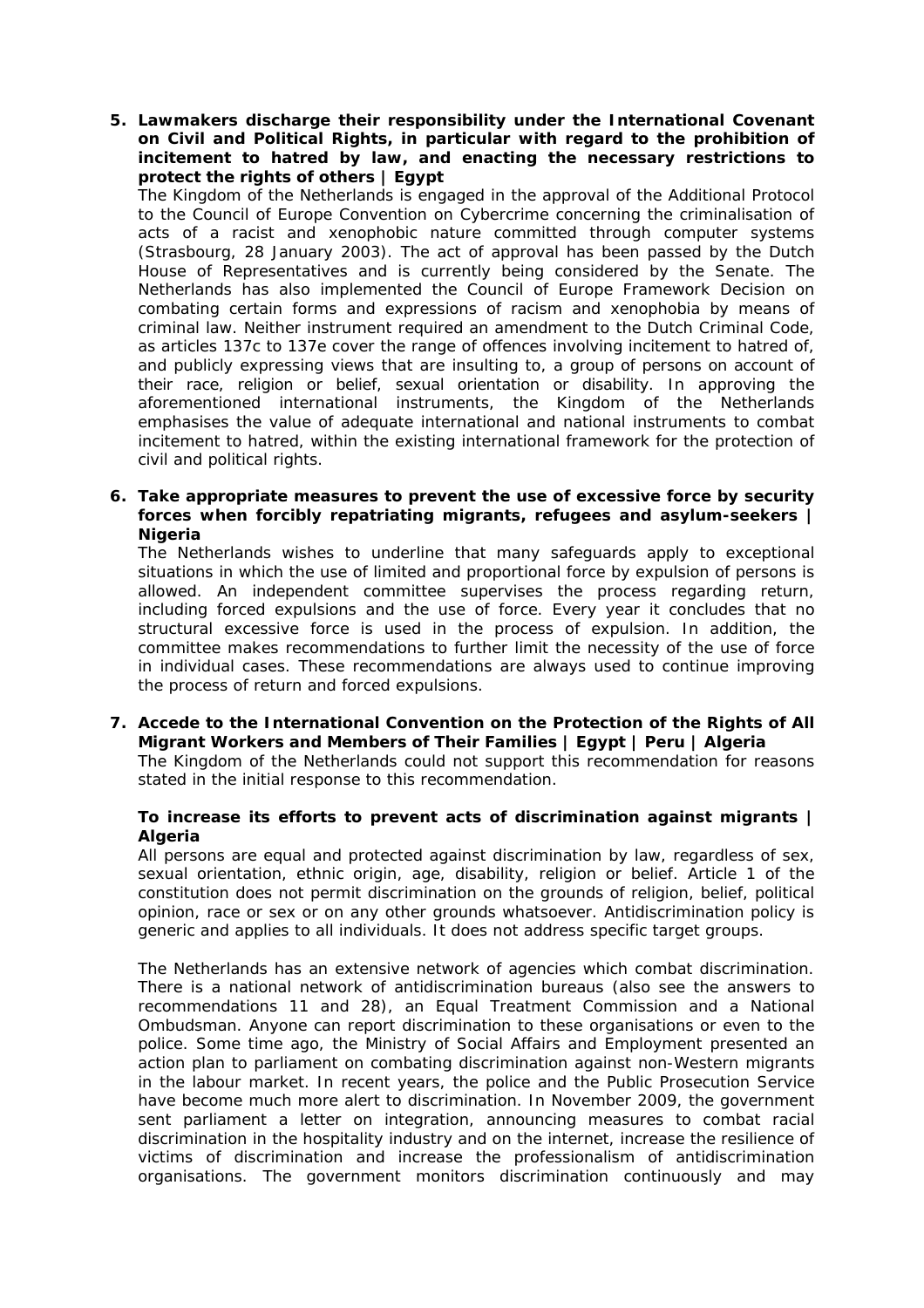**5. Lawmakers discharge their responsibility under the International Covenant on Civil and Political Rights, in particular with regard to the prohibition of incitement to hatred by law, and enacting the necessary restrictions to protect the rights of others | Egypt** 

The Kingdom of the Netherlands is engaged in the approval of the Additional Protocol to the Council of Europe Convention on Cybercrime concerning the criminalisation of acts of a racist and xenophobic nature committed through computer systems (Strasbourg, 28 January 2003). The act of approval has been passed by the Dutch House of Representatives and is currently being considered by the Senate. The Netherlands has also implemented the Council of Europe Framework Decision on combating certain forms and expressions of racism and xenophobia by means of criminal law. Neither instrument required an amendment to the Dutch Criminal Code, as articles 137c to 137e cover the range of offences involving incitement to hatred of, and publicly expressing views that are insulting to, a group of persons on account of their race, religion or belief, sexual orientation or disability. In approving the aforementioned international instruments, the Kingdom of the Netherlands emphasises the value of adequate international and national instruments to combat incitement to hatred, within the existing international framework for the protection of civil and political rights.

**6. Take appropriate measures to prevent the use of excessive force by security forces when forcibly repatriating migrants, refugees and asylum-seekers | Nigeria** 

The Netherlands wishes to underline that many safeguards apply to exceptional situations in which the use of limited and proportional force by expulsion of persons is allowed. An independent committee supervises the process regarding return, including forced expulsions and the use of force. Every year it concludes that no structural excessive force is used in the process of expulsion. In addition, the committee makes recommendations to further limit the necessity of the use of force in individual cases. These recommendations are always used to continue improving the process of return and forced expulsions.

**7. Accede to the International Convention on the Protection of the Rights of All Migrant Workers and Members of Their Families | Egypt | Peru | Algeria**  The Kingdom of the Netherlands could not support this recommendation for reasons stated in the initial response to this recommendation.

# **To increase its efforts to prevent acts of discrimination against migrants | Algeria**

All persons are equal and protected against discrimination by law, regardless of sex, sexual orientation, ethnic origin, age, disability, religion or belief. Article 1 of the constitution does not permit discrimination on the grounds of religion, belief, political opinion, race or sex or on any other grounds whatsoever. Antidiscrimination policy is generic and applies to all individuals. It does not address specific target groups.

The Netherlands has an extensive network of agencies which combat discrimination. There is a national network of antidiscrimination bureaus (also see the answers to recommendations 11 and 28), an Equal Treatment Commission and a National Ombudsman. Anyone can report discrimination to these organisations or even to the police. Some time ago, the Ministry of Social Affairs and Employment presented an action plan to parliament on combating discrimination against non-Western migrants in the labour market. In recent years, the police and the Public Prosecution Service have become much more alert to discrimination. In November 2009, the government sent parliament a letter on integration, announcing measures to combat racial discrimination in the hospitality industry and on the internet, increase the resilience of victims of discrimination and increase the professionalism of antidiscrimination organisations. The government monitors discrimination continuously and may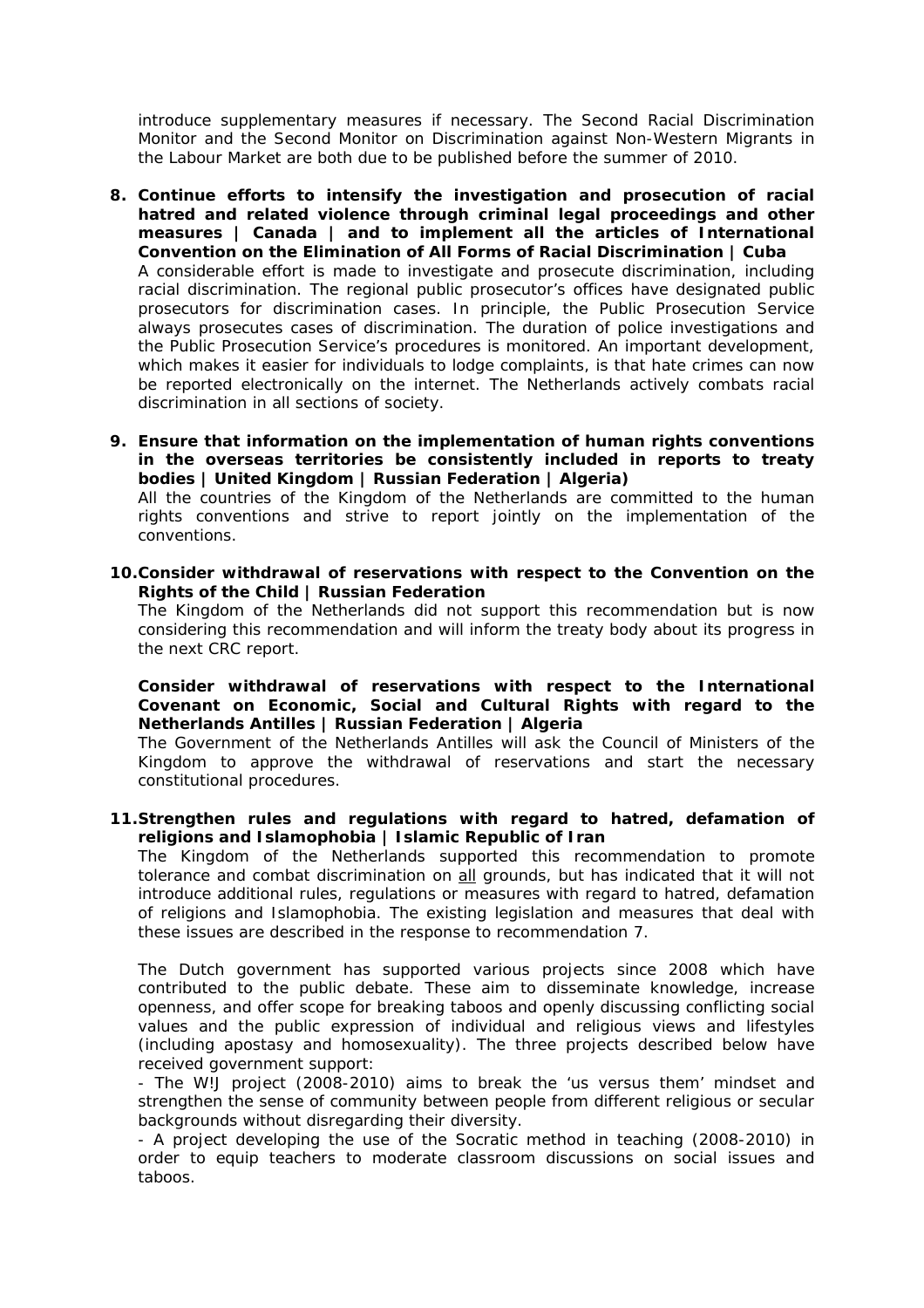introduce supplementary measures if necessary. The Second Racial Discrimination Monitor and the Second Monitor on Discrimination against Non-Western Migrants in the Labour Market are both due to be published before the summer of 2010.

- **8. Continue efforts to intensify the investigation and prosecution of racial hatred and related violence through criminal legal proceedings and other measures | Canada | and to implement all the articles of International Convention on the Elimination of All Forms of Racial Discrimination | Cuba**  A considerable effort is made to investigate and prosecute discrimination, including racial discrimination. The regional public prosecutor's offices have designated public prosecutors for discrimination cases. In principle, the Public Prosecution Service always prosecutes cases of discrimination. The duration of police investigations and the Public Prosecution Service's procedures is monitored. An important development, which makes it easier for individuals to lodge complaints, is that hate crimes can now be reported electronically on the internet. The Netherlands actively combats racial discrimination in all sections of society.
- **9. Ensure that information on the implementation of human rights conventions in the overseas territories be consistently included in reports to treaty bodies | United Kingdom | Russian Federation | Algeria)**  All the countries of the Kingdom of the Netherlands are committed to the human rights conventions and strive to report jointly on the implementation of the conventions.
- **10.Consider withdrawal of reservations with respect to the Convention on the Rights of the Child | Russian Federation**

The Kingdom of the Netherlands did not support this recommendation but is now considering this recommendation and will inform the treaty body about its progress in the next CRC report.

**Consider withdrawal of reservations with respect to the International Covenant on Economic, Social and Cultural Rights with regard to the Netherlands Antilles | Russian Federation | Algeria** 

The Government of the Netherlands Antilles will ask the Council of Ministers of the Kingdom to approve the withdrawal of reservations and start the necessary constitutional procedures.

**11.Strengthen rules and regulations with regard to hatred, defamation of religions and Islamophobia | Islamic Republic of Iran** 

The Kingdom of the Netherlands supported this recommendation to promote tolerance and combat discrimination on all grounds, but has indicated that it will not introduce additional rules, regulations or measures with regard to hatred, defamation of religions and Islamophobia. The existing legislation and measures that deal with these issues are described in the response to recommendation 7.

The Dutch government has supported various projects since 2008 which have contributed to the public debate. These aim to disseminate knowledge, increase openness, and offer scope for breaking taboos and openly discussing conflicting social values and the public expression of individual and religious views and lifestyles (including apostasy and homosexuality). The three projects described below have received government support:

- The W!J project (2008-2010) aims to break the 'us versus them' mindset and strengthen the sense of community between people from different religious or secular backgrounds without disregarding their diversity.

- A project developing the use of the Socratic method in teaching (2008-2010) in order to equip teachers to moderate classroom discussions on social issues and taboos.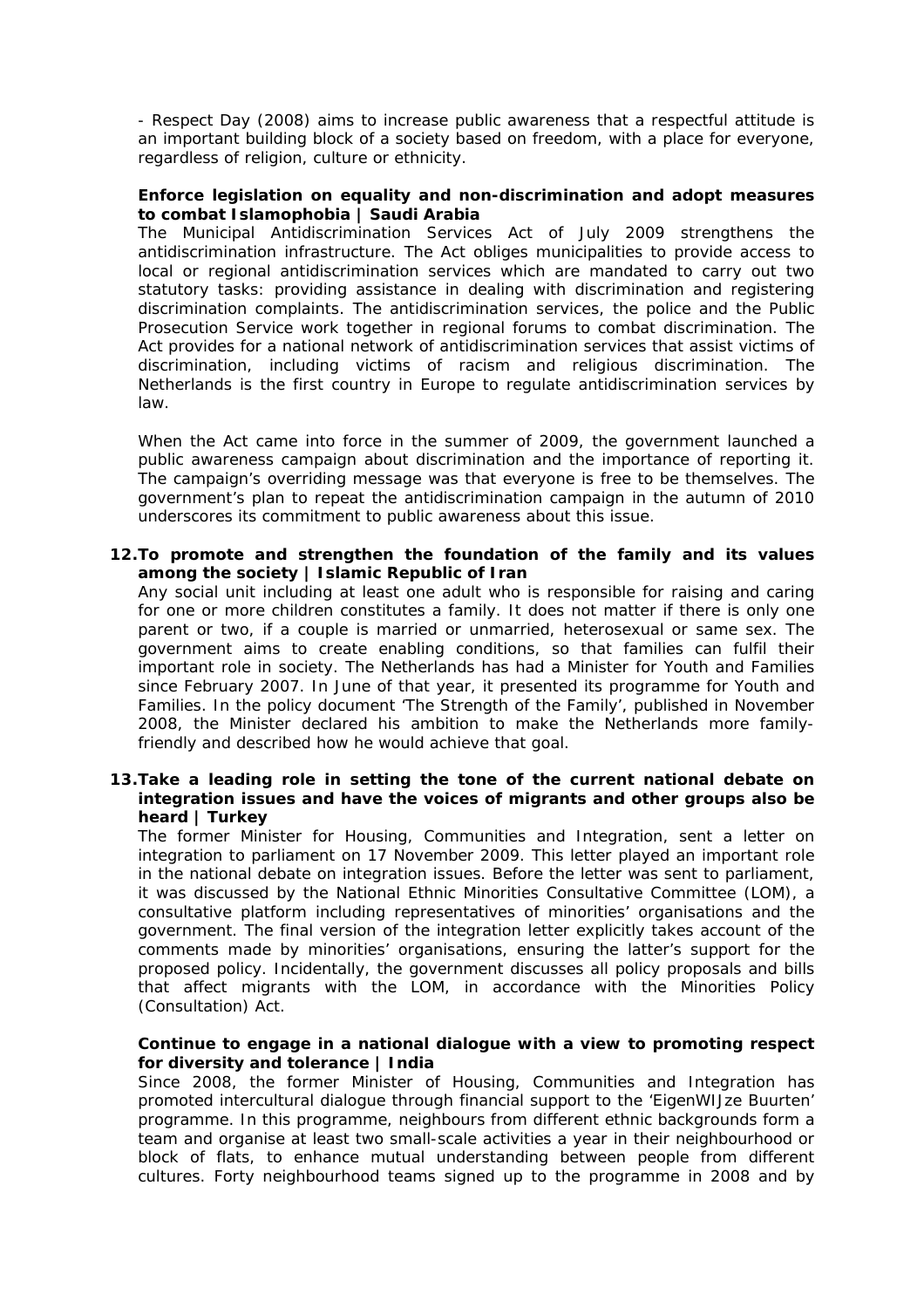- Respect Day (2008) aims to increase public awareness that a respectful attitude is an important building block of a society based on freedom, with a place for everyone, regardless of religion, culture or ethnicity.

## **Enforce legislation on equality and non-discrimination and adopt measures to combat Islamophobia | Saudi Arabia**

The Municipal Antidiscrimination Services Act of July 2009 strengthens the antidiscrimination infrastructure. The Act obliges municipalities to provide access to local or regional antidiscrimination services which are mandated to carry out two statutory tasks: providing assistance in dealing with discrimination and registering discrimination complaints. The antidiscrimination services, the police and the Public Prosecution Service work together in regional forums to combat discrimination. The Act provides for a national network of antidiscrimination services that assist victims of discrimination, including victims of racism and religious discrimination. The Netherlands is the first country in Europe to regulate antidiscrimination services by law.

When the Act came into force in the summer of 2009, the government launched a public awareness campaign about discrimination and the importance of reporting it. The campaign's overriding message was that everyone is free to be themselves. The government's plan to repeat the antidiscrimination campaign in the autumn of 2010 underscores its commitment to public awareness about this issue.

# **12.To promote and strengthen the foundation of the family and its values among the society | Islamic Republic of Iran**

Any social unit including at least one adult who is responsible for raising and caring for one or more children constitutes a family. It does not matter if there is only one parent or two, if a couple is married or unmarried, heterosexual or same sex. The government aims to create enabling conditions, so that families can fulfil their important role in society. The Netherlands has had a Minister for Youth and Families since February 2007. In June of that year, it presented its programme for Youth and Families. In the policy document 'The Strength of the Family', published in November 2008, the Minister declared his ambition to make the Netherlands more familyfriendly and described how he would achieve that goal.

# **13.Take a leading role in setting the tone of the current national debate on integration issues and have the voices of migrants and other groups also be heard | Turkey**

The former Minister for Housing, Communities and Integration, sent a letter on integration to parliament on 17 November 2009. This letter played an important role in the national debate on integration issues. Before the letter was sent to parliament, it was discussed by the National Ethnic Minorities Consultative Committee (LOM), a consultative platform including representatives of minorities' organisations and the government. The final version of the integration letter explicitly takes account of the comments made by minorities' organisations, ensuring the latter's support for the proposed policy. Incidentally, the government discusses *all* policy proposals and bills that affect migrants with the LOM, in accordance with the Minorities Policy (Consultation) Act.

# **Continue to engage in a national dialogue with a view to promoting respect for diversity and tolerance | India**

Since 2008, the former Minister of Housing, Communities and Integration has promoted intercultural dialogue through financial support to the '*EigenWIJze Buurten'* programme. In this programme, neighbours from different ethnic backgrounds form a team and organise at least two small-scale activities a year in their neighbourhood or block of flats, to enhance mutual understanding between people from different cultures. Forty neighbourhood teams signed up to the programme in 2008 and by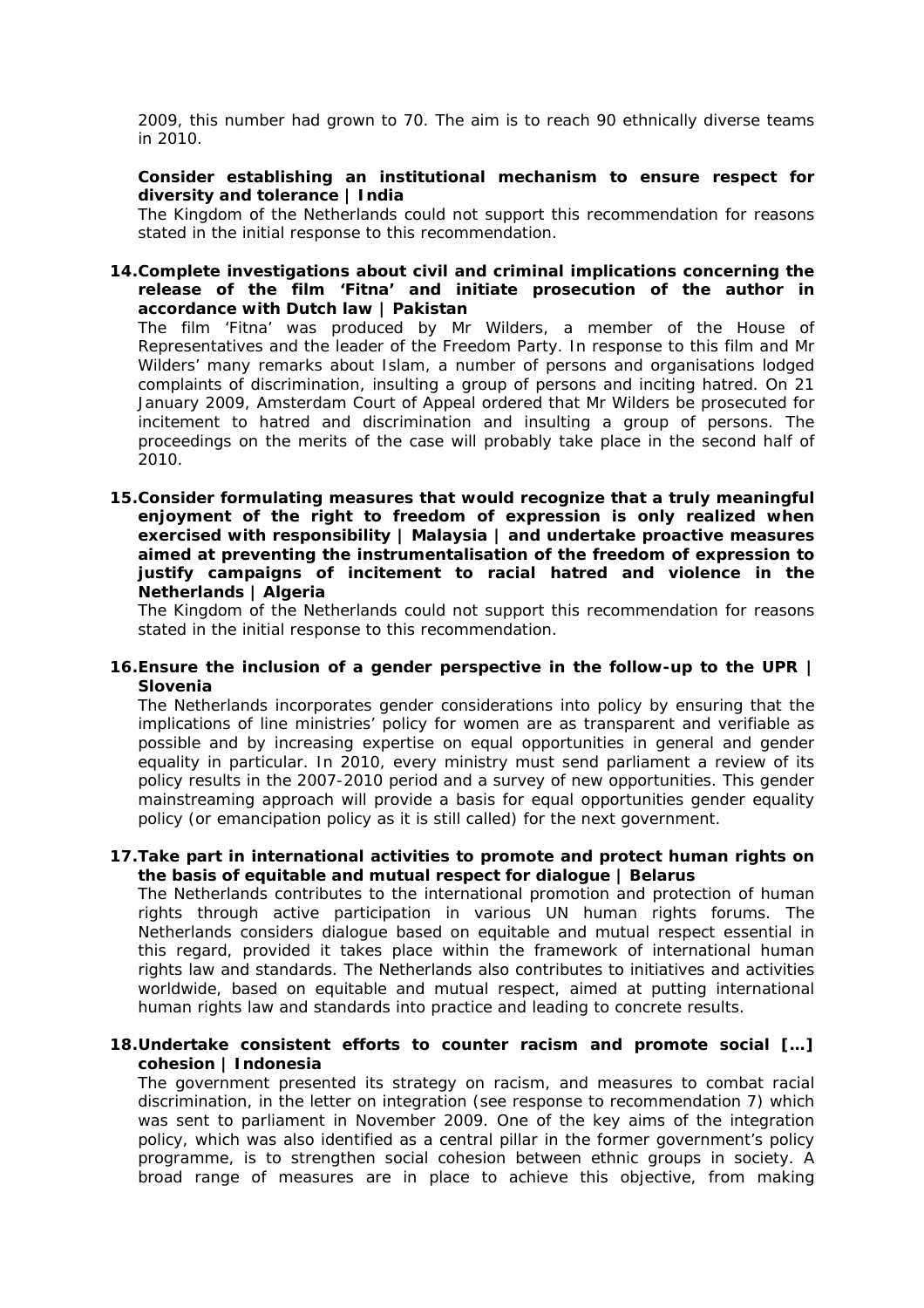2009, this number had grown to 70. The aim is to reach 90 ethnically diverse teams in 2010.

## **Consider establishing an institutional mechanism to ensure respect for diversity and tolerance | India**

The Kingdom of the Netherlands could not support this recommendation for reasons stated in the initial response to this recommendation.

## **14.Complete investigations about civil and criminal implications concerning the release of the film 'Fitna' and initiate prosecution of the author in accordance with Dutch law | Pakistan**

The film 'Fitna' was produced by Mr Wilders, a member of the House of Representatives and the leader of the Freedom Party. In response to this film and Mr Wilders' many remarks about Islam, a number of persons and organisations lodged complaints of discrimination, insulting a group of persons and inciting hatred. On 21 January 2009, Amsterdam Court of Appeal ordered that Mr Wilders be prosecuted for incitement to hatred and discrimination and insulting a group of persons. The proceedings on the merits of the case will probably take place in the second half of 2010.

**15.Consider formulating measures that would recognize that a truly meaningful enjoyment of the right to freedom of expression is only realized when exercised with responsibility | Malaysia | and undertake proactive measures aimed at preventing the instrumentalisation of the freedom of expression to justify campaigns of incitement to racial hatred and violence in the Netherlands | Algeria** 

The Kingdom of the Netherlands could not support this recommendation for reasons stated in the initial response to this recommendation.

#### **16.Ensure the inclusion of a gender perspective in the follow-up to the UPR | Slovenia**

The Netherlands incorporates gender considerations into policy by ensuring that the implications of line ministries' policy for women are as transparent and verifiable as possible and by increasing expertise on equal opportunities in general and gender equality in particular. In 2010, every ministry must send parliament a review of its policy results in the 2007-2010 period and a survey of new opportunities. This gender mainstreaming approach will provide a basis for equal opportunities gender equality policy (or emancipation policy as it is still called) for the next government.

# **17.Take part in international activities to promote and protect human rights on the basis of equitable and mutual respect for dialogue | Belarus**

The Netherlands contributes to the international promotion and protection of human rights through active participation in various UN human rights forums. The Netherlands considers dialogue based on equitable and mutual respect essential in this regard, provided it takes place within the framework of international human rights law and standards. The Netherlands also contributes to initiatives and activities worldwide, based on equitable and mutual respect, aimed at putting international human rights law and standards into practice and leading to concrete results.

# **18.Undertake consistent efforts to counter racism and promote social […] cohesion | Indonesia**

The government presented its strategy on racism, and measures to combat racial discrimination, in the letter on integration (see response to recommendation 7) which was sent to parliament in November 2009. One of the key aims of the integration policy, which was also identified as a central pillar in the former government's policy programme, is to strengthen social cohesion between ethnic groups in society. A broad range of measures are in place to achieve this objective, from making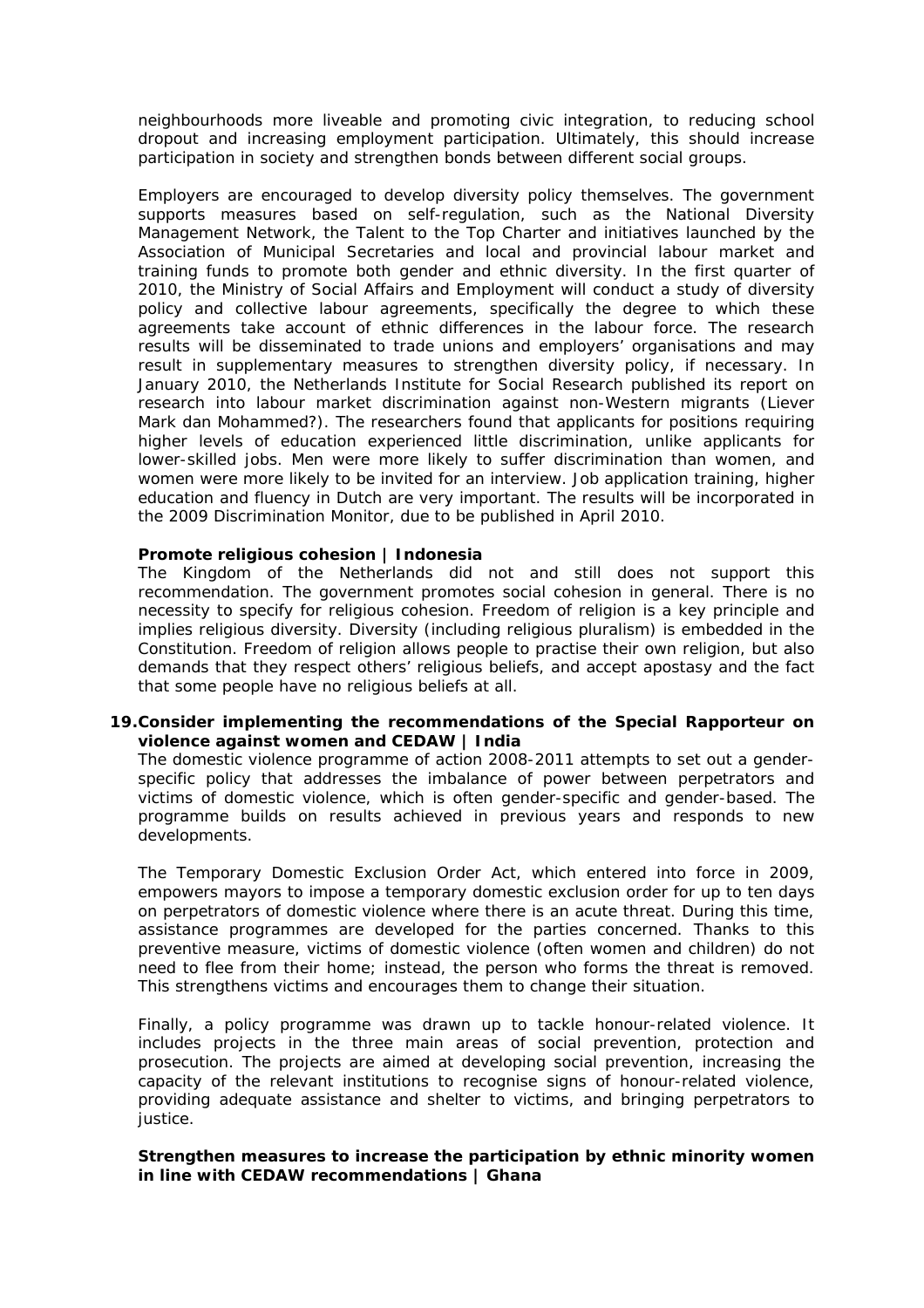neighbourhoods more liveable and promoting civic integration, to reducing school dropout and increasing employment participation. Ultimately, this should increase participation in society and strengthen bonds between different social groups.

Employers are encouraged to develop diversity policy themselves. The government supports measures based on self-regulation, such as the National Diversity Management Network, the Talent to the Top Charter and initiatives launched by the Association of Municipal Secretaries and local and provincial labour market and training funds to promote both gender and ethnic diversity. In the first quarter of 2010, the Ministry of Social Affairs and Employment will conduct a study of diversity policy and collective labour agreements, specifically the degree to which these agreements take account of ethnic differences in the labour force. The research results will be disseminated to trade unions and employers' organisations and may result in supplementary measures to strengthen diversity policy, if necessary. In January 2010, the Netherlands Institute for Social Research published its report on research into labour market discrimination against non-Western migrants (*Liever Mark dan Mohammed?)*. The researchers found that applicants for positions requiring higher levels of education experienced little discrimination, unlike applicants for lower-skilled jobs. Men were more likely to suffer discrimination than women, and women were more likely to be invited for an interview. Job application training, higher education and fluency in Dutch are very important. The results will be incorporated in the 2009 Discrimination Monitor, due to be published in April 2010.

#### **Promote religious cohesion | Indonesia**

The Kingdom of the Netherlands did not and still does not support this recommendation. The government promotes social cohesion in general. There is no necessity to specify for religious cohesion. Freedom of religion is a key principle and implies religious diversity. Diversity (including religious pluralism) is embedded in the Constitution. Freedom of religion allows people to practise their own religion, but also demands that they respect others' religious beliefs, and accept apostasy and the fact that some people have no religious beliefs at all.

## **19.Consider implementing the recommendations of the Special Rapporteur on violence against women and CEDAW | India**

The domestic violence programme of action 2008-2011 attempts to set out a genderspecific policy that addresses the imbalance of power between perpetrators and victims of domestic violence, which is often gender-specific and gender-based. The programme builds on results achieved in previous years and responds to new developments.

The Temporary Domestic Exclusion Order Act, which entered into force in 2009, empowers mayors to impose a temporary domestic exclusion order for up to ten days on perpetrators of domestic violence where there is an acute threat. During this time, assistance programmes are developed for the parties concerned. Thanks to this preventive measure, victims of domestic violence (often women and children) do not need to flee from their home; instead, the person who forms the threat is removed. This strengthens victims and encourages them to change their situation.

Finally, a policy programme was drawn up to tackle honour-related violence. It includes projects in the three main areas of social prevention, protection and prosecution. The projects are aimed at developing social prevention, increasing the capacity of the relevant institutions to recognise signs of honour-related violence, providing adequate assistance and shelter to victims, and bringing perpetrators to justice.

#### **Strengthen measures to increase the participation by ethnic minority women in line with CEDAW recommendations | Ghana**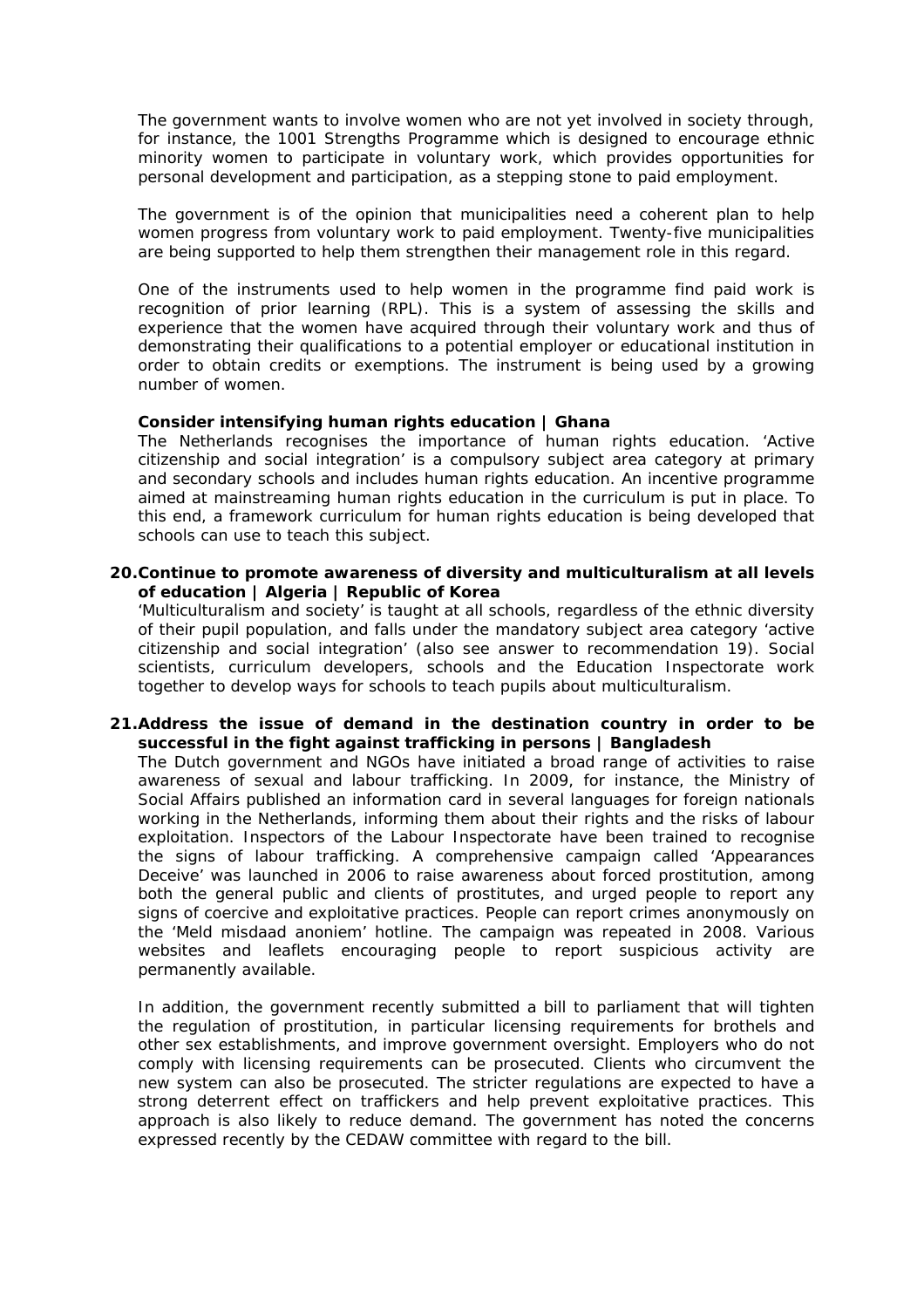The government wants to involve women who are not yet involved in society through, for instance, the 1001 Strengths Programme which is designed to encourage ethnic minority women to participate in voluntary work, which provides opportunities for personal development and participation, as a stepping stone to paid employment.

The government is of the opinion that municipalities need a coherent plan to help women progress from voluntary work to paid employment. Twenty-five municipalities are being supported to help them strengthen their management role in this regard.

One of the instruments used to help women in the programme find paid work is recognition of prior learning (RPL). This is a system of assessing the skills and experience that the women have acquired through their voluntary work and thus of demonstrating their qualifications to a potential employer or educational institution in order to obtain credits or exemptions. The instrument is being used by a growing number of women.

# **Consider intensifying human rights education | Ghana**

The Netherlands recognises the importance of human rights education. 'Active citizenship and social integration' is a compulsory subject area category at primary and secondary schools and includes human rights education. An incentive programme aimed at mainstreaming human rights education in the curriculum is put in place. To this end, a framework curriculum for human rights education is being developed that schools can use to teach this subject.

## **20.Continue to promote awareness of diversity and multiculturalism at all levels of education | Algeria | Republic of Korea**

'Multiculturalism and society' is taught at all schools, regardless of the ethnic diversity of their pupil population, and falls under the mandatory subject area category 'active citizenship and social integration' (also see answer to recommendation 19). Social scientists, curriculum developers, schools and the Education Inspectorate work together to develop ways for schools to teach pupils about multiculturalism.

# **21.Address the issue of demand in the destination country in order to be successful in the fight against trafficking in persons | Bangladesh**

The Dutch government and NGOs have initiated a broad range of activities to raise awareness of sexual and labour trafficking. In 2009, for instance, the Ministry of Social Affairs published an information card in several languages for foreign nationals working in the Netherlands, informing them about their rights and the risks of labour exploitation. Inspectors of the Labour Inspectorate have been trained to recognise the signs of labour trafficking. A comprehensive campaign called 'Appearances Deceive' was launched in 2006 to raise awareness about forced prostitution, among both the general public and clients of prostitutes, and urged people to report any signs of coercive and exploitative practices. People can report crimes anonymously on the *'Meld misdaad anoniem'* hotline. The campaign was repeated in 2008. Various websites and leaflets encouraging people to report suspicious activity are permanently available.

In addition, the government recently submitted a bill to parliament that will tighten the regulation of prostitution, in particular licensing requirements for brothels and other sex establishments, and improve government oversight. Employers who do not comply with licensing requirements can be prosecuted. Clients who circumvent the new system can also be prosecuted. The stricter regulations are expected to have a strong deterrent effect on traffickers and help prevent exploitative practices. This approach is also likely to reduce demand. The government has noted the concerns expressed recently by the CEDAW committee with regard to the bill.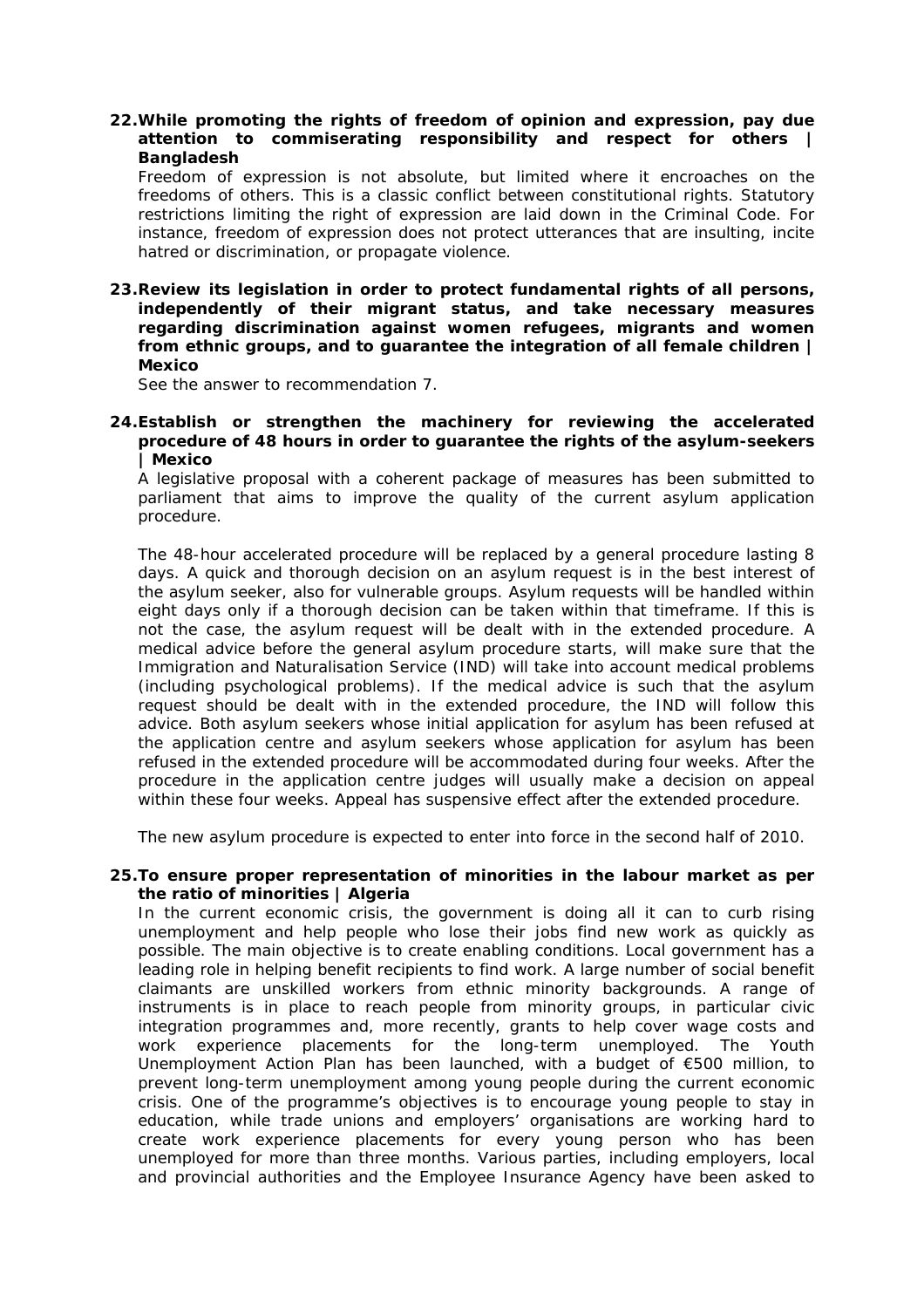# **22.While promoting the rights of freedom of opinion and expression, pay due attention to commiserating responsibility and respect for others | Bangladesh**

Freedom of expression is not absolute, but limited where it encroaches on the freedoms of others. This is a classic conflict between constitutional rights. Statutory restrictions limiting the right of expression are laid down in the Criminal Code. For instance, freedom of expression does not protect utterances that are insulting, incite hatred or discrimination, or propagate violence.

**23.Review its legislation in order to protect fundamental rights of all persons, independently of their migrant status, and take necessary measures regarding discrimination against women refugees, migrants and women from ethnic groups, and to guarantee the integration of all female children | Mexico** 

See the answer to recommendation 7.

## **24.Establish or strengthen the machinery for reviewing the accelerated procedure of 48 hours in order to guarantee the rights of the asylum-seekers | Mexico**

A legislative proposal with a coherent package of measures has been submitted to parliament that aims to improve the quality of the current asylum application procedure.

The 48-hour accelerated procedure will be replaced by a general procedure lasting 8 days. A quick and thorough decision on an asylum request is in the best interest of the asylum seeker, also for vulnerable groups. Asylum requests will be handled within eight days only if a thorough decision can be taken within that timeframe. If this is not the case, the asylum request will be dealt with in the extended procedure. A medical advice before the general asylum procedure starts, will make sure that the [Immigration and Naturalisation Service \(](http://www.ind.nl/en/algemeen/begrippen/I.asp)IND) will take into account medical problems (including psychological problems). If the medical advice is such that the asylum request should be dealt with in the extended procedure, the IND will follow this advice. Both asylum seekers whose initial application for asylum has been refused at the application centre and asylum seekers whose application for asylum has been refused in the extended procedure will be accommodated during four weeks. After the procedure in the application centre judges will usually make a decision on appeal within these four weeks. Appeal has suspensive effect after the extended procedure.

The new asylum procedure is expected to enter into force in the second half of 2010.

#### **25.To ensure proper representation of minorities in the labour market as per the ratio of minorities | Algeria**

In the current economic crisis, the government is doing all it can to curb rising unemployment and help people who lose their jobs find new work as quickly as possible. The main objective is to create enabling conditions. Local government has a leading role in helping benefit recipients to find work. A large number of social benefit claimants are unskilled workers from ethnic minority backgrounds. A range of instruments is in place to reach people from minority groups, in particular civic integration programmes and, more recently, grants to help cover wage costs and work experience placements for the long-term unemployed. The Youth Unemployment Action Plan has been launched, with a budget of €500 million, to prevent long-term unemployment among young people during the current economic crisis. One of the programme's objectives is to encourage young people to stay in education, while trade unions and employers' organisations are working hard to create work experience placements for every young person who has been unemployed for more than three months. Various parties, including employers, local and provincial authorities and the Employee Insurance Agency have been asked to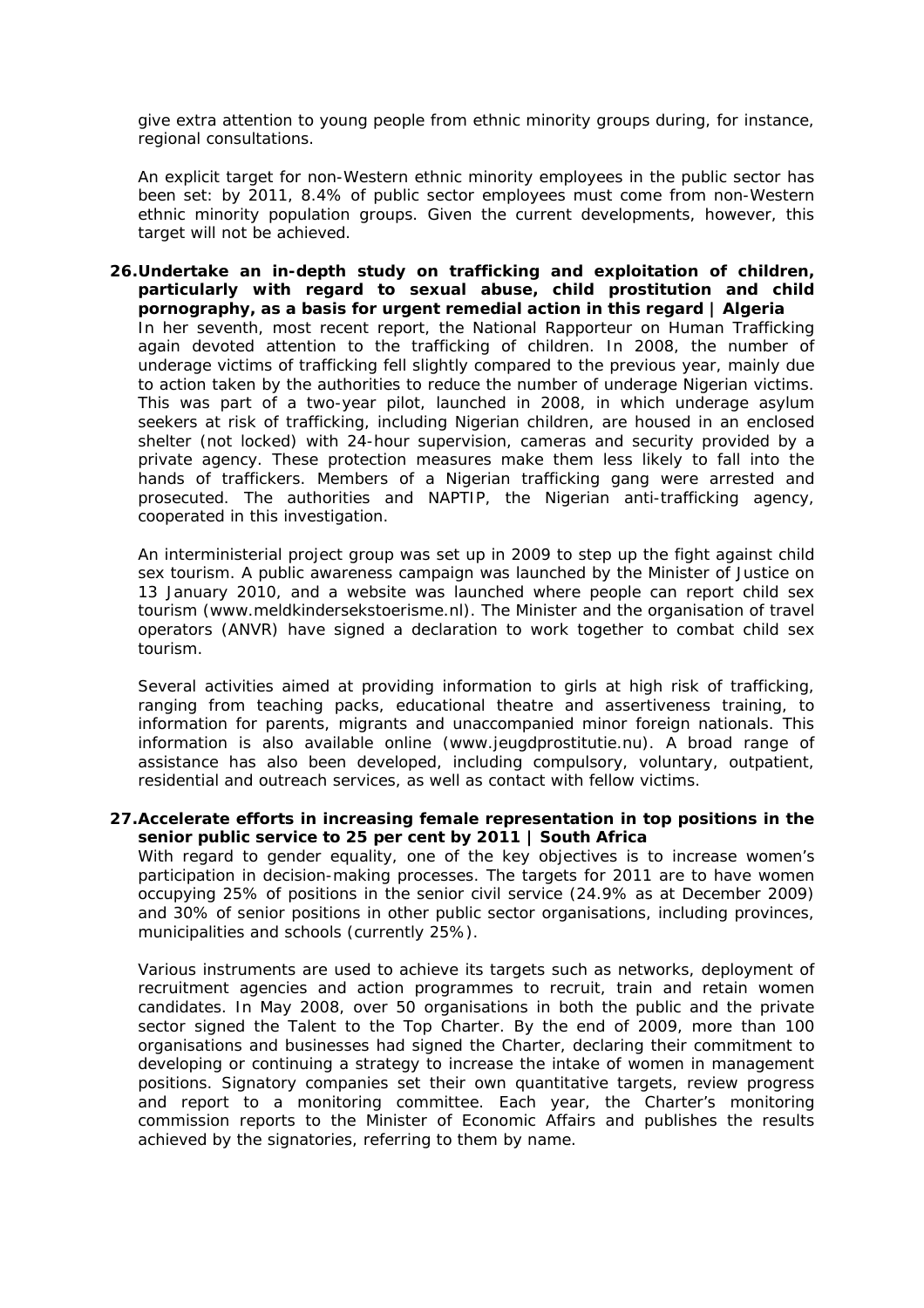give extra attention to young people from ethnic minority groups during, for instance, regional consultations.

An explicit target for non-Western ethnic minority employees in the public sector has been set: by 2011, 8.4% of public sector employees must come from non-Western ethnic minority population groups. Given the current developments, however, this target will not be achieved.

**26.Undertake an in-depth study on trafficking and exploitation of children, particularly with regard to sexual abuse, child prostitution and child pornography, as a basis for urgent remedial action in this regard | Algeria**  In her seventh, most recent report, the National Rapporteur on Human Trafficking again devoted attention to the trafficking of children. In 2008, the number of underage victims of trafficking fell slightly compared to the previous year, mainly due to action taken by the authorities to reduce the number of underage Nigerian victims. This was part of a two-year pilot, launched in 2008, in which underage asylum seekers at risk of trafficking, including Nigerian children, are housed in an enclosed shelter (not locked) with 24-hour supervision, cameras and security provided by a private agency. These protection measures make them less likely to fall into the hands of traffickers. Members of a Nigerian trafficking gang were arrested and prosecuted. The authorities and NAPTIP, the Nigerian anti-trafficking agency, cooperated in this investigation.

An interministerial project group was set up in 2009 to step up the fight against child sex tourism. A public awareness campaign was launched by the Minister of Justice on 13 January 2010, and a website was launched where people can report child sex tourism (www.meldkindersekstoerisme.nl). The Minister and the organisation of travel operators (ANVR) have signed a declaration to work together to combat child sex tourism.

Several activities aimed at providing information to girls at high risk of trafficking, ranging from teaching packs, educational theatre and assertiveness training, to information for parents, migrants and unaccompanied minor foreign nationals. This information is also available online (www.jeugdprostitutie.nu). A broad range of assistance has also been developed, including compulsory, voluntary, outpatient, residential and outreach services, as well as contact with fellow victims.

#### **27.Accelerate efforts in increasing female representation in top positions in the senior public service to 25 per cent by 2011 | South Africa**

With regard to gender equality, one of the key objectives is to increase women's participation in decision-making processes. The targets for 2011 are to have women occupying 25% of positions in the senior civil service (24.9% as at December 2009) and 30% of senior positions in other public sector organisations, including provinces, municipalities and schools (currently 25%).

Various instruments are used to achieve its targets such as networks, deployment of recruitment agencies and action programmes to recruit, train and retain women candidates. In May 2008, over 50 organisations in both the public and the private sector signed the Talent to the Top Charter. By the end of 2009, more than 100 organisations and businesses had signed the Charter, declaring their commitment to developing or continuing a strategy to increase the intake of women in management positions. Signatory companies set their own quantitative targets, review progress and report to a monitoring committee. Each year, the Charter's monitoring commission reports to the Minister of Economic Affairs and publishes the results achieved by the signatories, referring to them by name.